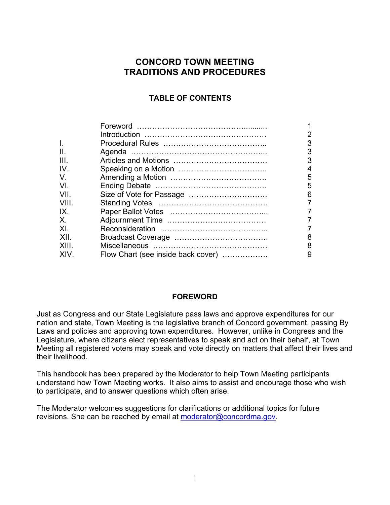# **CONCORD TOWN MEETING TRADITIONS AND PROCEDURES**

# **TABLE OF CONTENTS**

|       |                                    | $\overline{2}$ |
|-------|------------------------------------|----------------|
|       |                                    | 3              |
| ΙΙ.   |                                    | 3              |
| III.  |                                    | 3              |
| IV.   |                                    | 4              |
| V     |                                    | 5              |
| VI.   |                                    | 5              |
| VIL   |                                    | 6              |
| VIII. |                                    | 7              |
| IX.   |                                    |                |
| X.    |                                    |                |
| XI.   |                                    |                |
| XII.  |                                    | 8              |
| XIII  |                                    | 8              |
| XIV.  | Flow Chart (see inside back cover) | 9              |
|       |                                    |                |

# **FOREWORD**

Just as Congress and our State Legislature pass laws and approve expenditures for our nation and state, Town Meeting is the legislative branch of Concord government, passing By Laws and policies and approving town expenditures. However, unlike in Congress and the Legislature, where citizens elect representatives to speak and act on their behalf, at Town Meeting all registered voters may speak and vote directly on matters that affect their lives and their livelihood.

This handbook has been prepared by the Moderator to help Town Meeting participants understand how Town Meeting works. It also aims to assist and encourage those who wish to participate, and to answer questions which often arise.

The Moderator welcomes suggestions for clarifications or additional topics for future revisions. She can be reached by email at moderator@concordma.gov.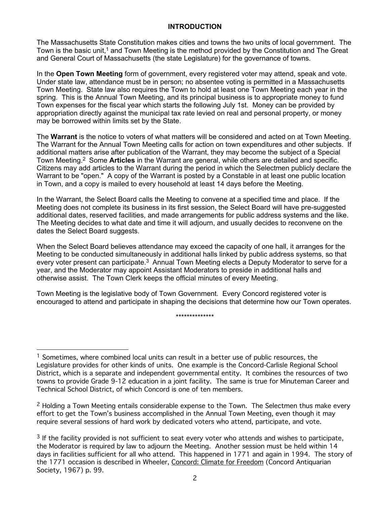#### **INTRODUCTION**

The Massachusetts State Constitution makes cities and towns the two units of local government. The Town is the basic unit,1 and Town Meeting is the method provided by the Constitution and The Great and General Court of Massachusetts (the state Legislature) for the governance of towns.

In the **Open Town Meeting** form of government, every registered voter may attend, speak and vote. Under state law, attendance must be in person; no absentee voting is permitted in a Massachusetts Town Meeting. State law also requires the Town to hold at least one Town Meeting each year in the spring. This is the Annual Town Meeting, and its principal business is to appropriate money to fund Town expenses for the fiscal year which starts the following July 1st. Money can be provided by appropriation directly against the municipal tax rate levied on real and personal property, or money may be borrowed within limits set by the State.

The **Warrant** is the notice to voters of what matters will be considered and acted on at Town Meeting. The Warrant for the Annual Town Meeting calls for action on town expenditures and other subjects. If additional matters arise after publication of the Warrant, they may become the subject of a Special Town Meeting.2 Some **Articles** in the Warrant are general, while others are detailed and specific. Citizens may add articles to the Warrant during the period in which the Selectmen publicly declare the Warrant to be "open." A copy of the Warrant is posted by a Constable in at least one public location in Town, and a copy is mailed to every household at least 14 days before the Meeting.

In the Warrant, the Select Board calls the Meeting to convene at a specified time and place. If the Meeting does not complete its business in its first session, the Select Board will have pre-suggested additional dates, reserved facilities, and made arrangements for public address systems and the like. The Meeting decides to what date and time it will adjourn, and usually decides to reconvene on the dates the Select Board suggests.

When the Select Board believes attendance may exceed the capacity of one hall, it arranges for the Meeting to be conducted simultaneously in additional halls linked by public address systems, so that every voter present can participate.<sup>3</sup> Annual Town Meeting elects a Deputy Moderator to serve for a year, and the Moderator may appoint Assistant Moderators to preside in additional halls and otherwise assist. The Town Clerk keeps the official minutes of every Meeting.

Town Meeting is the legislative body of Town Government. Every Concord registered voter is encouraged to attend and participate in shaping the decisions that determine how our Town operates.

\*\*\*\*\*\*\*\*\*\*\*\*\*\*

 $2$  Holding a Town Meeting entails considerable expense to the Town. The Selectmen thus make every effort to get the Town's business accomplished in the Annual Town Meeting, even though it may require several sessions of hard work by dedicated voters who attend, participate, and vote.

<sup>&</sup>lt;sup>1</sup> Sometimes, where combined local units can result in a better use of public resources, the Legislature provides for other kinds of units. One example is the Concord-Carlisle Regional School District, which is a separate and independent governmental entity. It combines the resources of two towns to provide Grade 9-12 education in a joint facility. The same is true for Minuteman Career and Technical School District, of which Concord is one of ten members.

<sup>&</sup>lt;sup>3</sup> If the facility provided is not sufficient to seat every voter who attends and wishes to participate, the Moderator is required by law to adjourn the Meeting. Another session must be held within 14 days in facilities sufficient for all who attend. This happened in 1771 and again in 1994. The story of the 1771 occasion is described in Wheeler, Concord: Climate for Freedom (Concord Antiquarian Society, 1967) p. 99.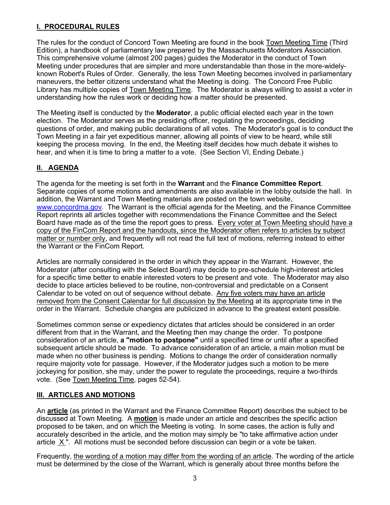## **I. PROCEDURAL RULES**

The rules for the conduct of Concord Town Meeting are found in the book Town Meeting Time (Third Edition), a handbook of parliamentary law prepared by the Massachusetts Moderators Association. This comprehensive volume (almost 200 pages) guides the Moderator in the conduct of Town Meeting under procedures that are simpler and more understandable than those in the more-widelyknown Robert's Rules of Order. Generally, the less Town Meeting becomes involved in parliamentary maneuvers, the better citizens understand what the Meeting is doing. The Concord Free Public Library has multiple copies of Town Meeting Time. The Moderator is always willing to assist a voter in understanding how the rules work or deciding how a matter should be presented.

The Meeting itself is conducted by the **Moderator**, a public official elected each year in the town election. The Moderator serves as the presiding officer, regulating the proceedings, deciding questions of order, and making public declarations of all votes. The Moderator's goal is to conduct the Town Meeting in a fair yet expeditious manner, allowing all points of view to be heard, while still keeping the process moving. In the end, the Meeting itself decides how much debate it wishes to hear, and when it is time to bring a matter to a vote. (See Section VI, Ending Debate.)

# **II. AGENDA**

The agenda for the meeting is set forth in the **Warrant** and the **Finance Committee Report**. Separate copies of some motions and amendments are also available in the lobby outside the hall. In addition, the Warrant and Town Meeting materials are posted on the town website, www.concordma.gov. The Warrant is the official agenda for the Meeting, and the Finance Committee Report reprints all articles together with recommendations the Finance Committee and the Select Board have made as of the time the report goes to press. Every voter at Town Meeting should have a copy of the FinCom Report and the handouts, since the Moderator often refers to articles by subject matter or number only, and frequently will not read the full text of motions, referring instead to either the Warrant or the FinCom Report.

Articles are normally considered in the order in which they appear in the Warrant. However, the Moderator (after consulting with the Select Board) may decide to pre-schedule high-interest articles for a specific time better to enable interested voters to be present and vote. The Moderator may also decide to place articles believed to be routine, non-controversial and predictable on a Consent Calendar to be voted on out of sequence without debate. Any five voters may have an article removed from the Consent Calendar for full discussion by the Meeting at its appropriate time in the order in the Warrant. Schedule changes are publicized in advance to the greatest extent possible.

Sometimes common sense or expediency dictates that articles should be considered in an order different from that in the Warrant, and the Meeting then may change the order. To postpone consideration of an article, **a "motion to postpone"** until a specified time or until after a specified subsequent article should be made. To advance consideration of an article, a main motion must be made when no other business is pending. Motions to change the order of consideration normally require majority vote for passage. However, if the Moderator judges such a motion to be mere jockeying for position, she may, under the power to regulate the proceedings, require a two-thirds vote. (See Town Meeting Time, pages 52-54).

# **III. ARTICLES AND MOTIONS**

An **article** (as printed in the Warrant and the Finance Committee Report) describes the subject to be discussed at Town Meeting. A **motion** is made under an article and describes the specific action proposed to be taken, and on which the Meeting is voting. In some cases, the action is fully and accurately described in the article, and the motion may simply be "to take affirmative action under article X ". All motions must be seconded before discussion can begin or a vote be taken.

Frequently, the wording of a motion may differ from the wording of an article. The wording of the article must be determined by the close of the Warrant, which is generally about three months before the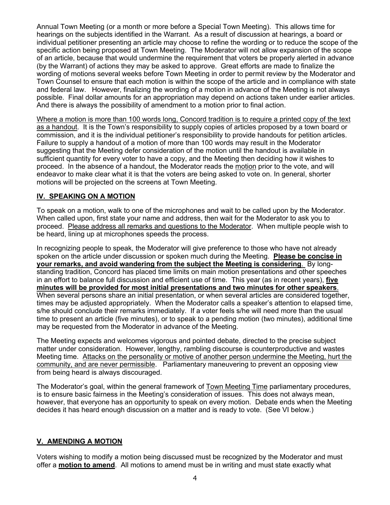Annual Town Meeting (or a month or more before a Special Town Meeting). This allows time for hearings on the subjects identified in the Warrant. As a result of discussion at hearings, a board or individual petitioner presenting an article may choose to refine the wording or to reduce the scope of the specific action being proposed at Town Meeting. The Moderator will not allow expansion of the scope of an article, because that would undermine the requirement that voters be properly alerted in advance (by the Warrant) of actions they may be asked to approve. Great efforts are made to finalize the wording of motions several weeks before Town Meeting in order to permit review by the Moderator and Town Counsel to ensure that each motion is within the scope of the article and in compliance with state and federal law. However, finalizing the wording of a motion in advance of the Meeting is not always possible. Final dollar amounts for an appropriation may depend on actions taken under earlier articles. And there is always the possibility of amendment to a motion prior to final action.

Where a motion is more than 100 words long, Concord tradition is to require a printed copy of the text as a handout. It is the Town's responsibility to supply copies of articles proposed by a town board or commission, and it is the individual petitioner's responsibility to provide handouts for petition articles. Failure to supply a handout of a motion of more than 100 words may result in the Moderator suggesting that the Meeting defer consideration of the motion until the handout is available in sufficient quantity for every voter to have a copy, and the Meeting then deciding how it wishes to proceed. In the absence of a handout, the Moderator reads the motion prior to the vote, and will endeavor to make clear what it is that the voters are being asked to vote on. In general, shorter motions will be projected on the screens at Town Meeting.

# **IV. SPEAKING ON A MOTION**

To speak on a motion, walk to one of the microphones and wait to be called upon by the Moderator. When called upon, first state your name and address, then wait for the Moderator to ask you to proceed. Please address all remarks and questions to the Moderator. When multiple people wish to be heard, lining up at microphones speeds the process.

In recognizing people to speak, the Moderator will give preference to those who have not already spoken on the article under discussion or spoken much during the Meeting. **Please be concise in your remarks, and avoid wandering from the subject the Meeting is considering**. By longstanding tradition, Concord has placed time limits on main motion presentations and other speeches in an effort to balance full discussion and efficient use of time. This year (as in recent years), **five minutes will be provided for most initial presentations and two minutes for other speakers**. When several persons share an initial presentation, or when several articles are considered together, times may be adjusted appropriately. When the Moderator calls a speaker's attention to elapsed time, s/he should conclude their remarks immediately. If a voter feels s/he will need more than the usual time to present an article (five minutes), or to speak to a pending motion (two minutes), additional time may be requested from the Moderator in advance of the Meeting.

The Meeting expects and welcomes vigorous and pointed debate, directed to the precise subject matter under consideration. However, lengthy, rambling discourse is counterproductive and wastes Meeting time. Attacks on the personality or motive of another person undermine the Meeting, hurt the community, and are never permissible. Parliamentary maneuvering to prevent an opposing view from being heard is always discouraged.

The Moderator's goal, within the general framework of Town Meeting Time parliamentary procedures, is to ensure basic fairness in the Meeting's consideration of issues. This does not always mean, however, that everyone has an opportunity to speak on every motion. Debate ends when the Meeting decides it has heard enough discussion on a matter and is ready to vote. (See VI below.)

### **V. AMENDING A MOTION**

Voters wishing to modify a motion being discussed must be recognized by the Moderator and must offer a **motion to amend**. All motions to amend must be in writing and must state exactly what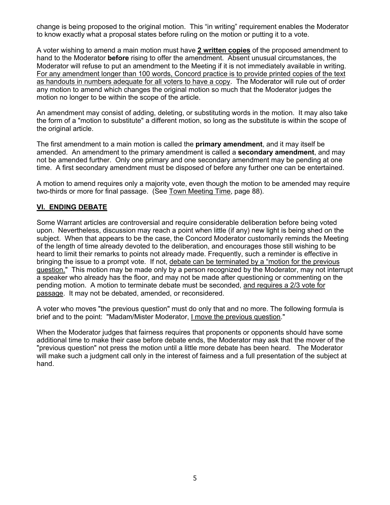change is being proposed to the original motion. This "in writing" requirement enables the Moderator to know exactly what a proposal states before ruling on the motion or putting it to a vote.

A voter wishing to amend a main motion must have **2 written copies** of the proposed amendment to hand to the Moderator **before** rising to offer the amendment. Absent unusual circumstances, the Moderator will refuse to put an amendment to the Meeting if it is not immediately available in writing. For any amendment longer than 100 words, Concord practice is to provide printed copies of the text as handouts in numbers adequate for all voters to have a copy. The Moderator will rule out of order any motion to amend which changes the original motion so much that the Moderator judges the motion no longer to be within the scope of the article.

An amendment may consist of adding, deleting, or substituting words in the motion. It may also take the form of a "motion to substitute" a different motion, so long as the substitute is within the scope of the original article.

The first amendment to a main motion is called the **primary amendment**, and it may itself be amended. An amendment to the primary amendment is called a **secondary amendment**, and may not be amended further. Only one primary and one secondary amendment may be pending at one time. A first secondary amendment must be disposed of before any further one can be entertained.

A motion to amend requires only a majority vote, even though the motion to be amended may require two-thirds or more for final passage. (See Town Meeting Time, page 88).

# **VI. ENDING DEBATE**

Some Warrant articles are controversial and require considerable deliberation before being voted upon. Nevertheless, discussion may reach a point when little (if any) new light is being shed on the subject. When that appears to be the case, the Concord Moderator customarily reminds the Meeting of the length of time already devoted to the deliberation, and encourages those still wishing to be heard to limit their remarks to points not already made. Frequently, such a reminder is effective in bringing the issue to a prompt vote. If not, debate can be terminated by a "motion for the previous guestion." This motion may be made only by a person recognized by the Moderator, may not interrupt a speaker who already has the floor, and may not be made after questioning or commenting on the pending motion. A motion to terminate debate must be seconded, and requires a 2/3 vote for passage. It may not be debated, amended, or reconsidered.

A voter who moves "the previous question" must do only that and no more. The following formula is brief and to the point: "Madam/Mister Moderator, I move the previous question."

When the Moderator judges that fairness requires that proponents or opponents should have some additional time to make their case before debate ends, the Moderator may ask that the mover of the "previous question" not press the motion until a little more debate has been heard. The Moderator will make such a judgment call only in the interest of fairness and a full presentation of the subject at hand.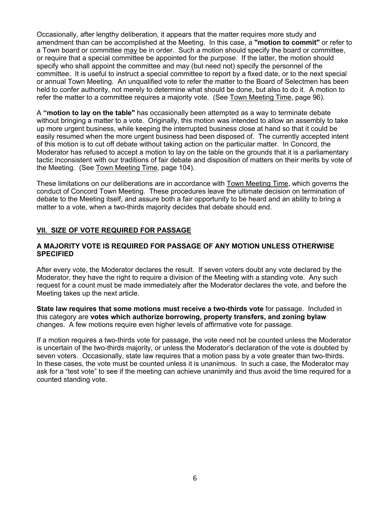Occasionally, after lengthy deliberation, it appears that the matter requires more study and amendment than can be accomplished at the Meeting. In this case, a **"motion to commit"** or refer to a Town board or committee may be in order. Such a motion should specify the board or committee, or require that a special committee be appointed for the purpose. If the latter, the motion should specify who shall appoint the committee and may (but need not) specify the personnel of the committee. It is useful to instruct a special committee to report by a fixed date, or to the next special or annual Town Meeting. An unqualified vote to refer the matter to the Board of Selectmen has been held to confer authority, not merely to determine what should be done, but also to do it. A motion to refer the matter to a committee requires a majority vote. (See Town Meeting Time, page 96).

A **"motion to lay on the table"** has occasionally been attempted as a way to terminate debate without bringing a matter to a vote. Originally, this motion was intended to allow an assembly to take up more urgent business, while keeping the interrupted business close at hand so that it could be easily resumed when the more urgent business had been disposed of. The currently accepted intent of this motion is to cut off debate without taking action on the particular matter. In Concord, the Moderator has refused to accept a motion to lay on the table on the grounds that it is a parliamentary tactic inconsistent with our traditions of fair debate and disposition of matters on their merits by vote of the Meeting. (See Town Meeting Time, page 104).

These limitations on our deliberations are in accordance with Town Meeting Time, which governs the conduct of Concord Town Meeting. These procedures leave the ultimate decision on termination of debate to the Meeting itself, and assure both a fair opportunity to be heard and an ability to bring a matter to a vote, when a two-thirds majority decides that debate should end.

## **VII. SIZE OF VOTE REQUIRED FOR PASSAGE**

#### **A MAJORITY VOTE IS REQUIRED FOR PASSAGE OF ANY MOTION UNLESS OTHERWISE SPECIFIED**

After every vote, the Moderator declares the result. If seven voters doubt any vote declared by the Moderator, they have the right to require a division of the Meeting with a standing vote. Any such request for a count must be made immediately after the Moderator declares the vote, and before the Meeting takes up the next article.

**State law requires that some motions must receive a two-thirds vote** for passage. Included in this category are **votes which authorize borrowing, property transfers, and zoning bylaw**  changes. A few motions require even higher levels of affirmative vote for passage.

If a motion requires a two-thirds vote for passage, the vote need not be counted unless the Moderator is uncertain of the two-thirds majority, or unless the Moderator's declaration of the vote is doubted by seven voters. Occasionally, state law requires that a motion pass by a vote greater than two-thirds. In these cases, the vote must be counted unless it is unanimous. In such a case, the Moderator may ask for a "test vote" to see if the meeting can achieve unanimity and thus avoid the time required for a counted standing vote.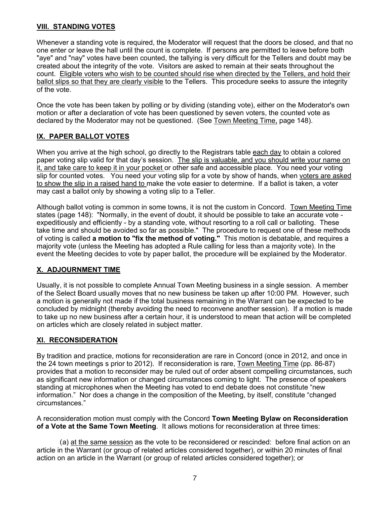### **VIII. STANDING VOTES**

Whenever a standing vote is required, the Moderator will request that the doors be closed, and that no one enter or leave the hall until the count is complete. If persons are permitted to leave before both "aye" and "nay" votes have been counted, the tallying is very difficult for the Tellers and doubt may be created about the integrity of the vote. Visitors are asked to remain at their seats throughout the count. Eligible voters who wish to be counted should rise when directed by the Tellers, and hold their ballot slips so that they are clearly visible to the Tellers. This procedure seeks to assure the integrity of the vote.

Once the vote has been taken by polling or by dividing (standing vote), either on the Moderator's own motion or after a declaration of vote has been questioned by seven voters, the counted vote as declared by the Moderator may not be questioned. (See Town Meeting Time, page 148).

# **IX. PAPER BALLOT VOTES**

When you arrive at the high school, go directly to the Registrars table each day to obtain a colored paper voting slip valid for that day's session. The slip is valuable, and you should write your name on it, and take care to keep it in your pocket or other safe and accessible place. You need your voting slip for counted votes. You need your voting slip for a vote by show of hands, when voters are asked to show the slip in a raised hand to make the vote easier to determine. If a ballot is taken, a voter may cast a ballot only by showing a voting slip to a Teller.

Although ballot voting is common in some towns, it is not the custom in Concord. Town Meeting Time states (page 148): "Normally, in the event of doubt, it should be possible to take an accurate vote expeditiously and efficiently - by a standing vote, without resorting to a roll call or balloting. These take time and should be avoided so far as possible." The procedure to request one of these methods of voting is called **a motion to "fix the method of voting."** This motion is debatable, and requires a majority vote (unless the Meeting has adopted a Rule calling for less than a majority vote). In the event the Meeting decides to vote by paper ballot, the procedure will be explained by the Moderator.

# **X. ADJOURNMENT TIME**

Usually, it is not possible to complete Annual Town Meeting business in a single session. A member of the Select Board usually moves that no new business be taken up after 10:00 PM. However, such a motion is generally not made if the total business remaining in the Warrant can be expected to be concluded by midnight (thereby avoiding the need to reconvene another session). If a motion is made to take up no new business after a certain hour, it is understood to mean that action will be completed on articles which are closely related in subject matter.

# **XI. RECONSIDERATION**

By tradition and practice, motions for reconsideration are rare in Concord (once in 2012, and once in the 24 town meetings s prior to 2012). If reconsideration is rare, Town Meeting Time (pp. 86-87) provides that a motion to reconsider may be ruled out of order absent compelling circumstances, such as significant new information or changed circumstances coming to light. The presence of speakers standing at microphones when the Meeting has voted to end debate does not constitute "new information." Nor does a change in the composition of the Meeting, by itself, constitute "changed circumstances."

A reconsideration motion must comply with the Concord **Town Meeting Bylaw on Reconsideration of a Vote at the Same Town Meeting**. It allows motions for reconsideration at three times:

(a) at the same session as the vote to be reconsidered or rescinded: before final action on an article in the Warrant (or group of related articles considered together), or within 20 minutes of final action on an article in the Warrant (or group of related articles considered together); or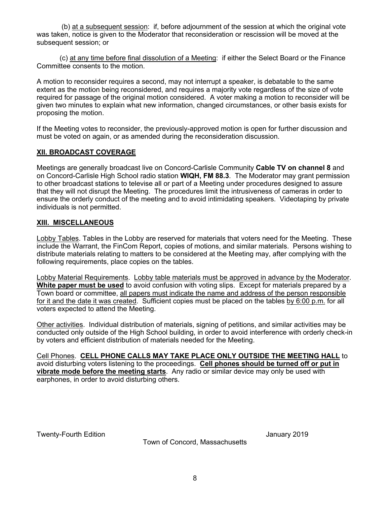(b) at a subsequent session: if, before adjournment of the session at which the original vote was taken, notice is given to the Moderator that reconsideration or rescission will be moved at the subsequent session; or

(c) at any time before final dissolution of a Meeting: if either the Select Board or the Finance Committee consents to the motion.

A motion to reconsider requires a second, may not interrupt a speaker, is debatable to the same extent as the motion being reconsidered, and requires a majority vote regardless of the size of vote required for passage of the original motion considered. A voter making a motion to reconsider will be given two minutes to explain what new information, changed circumstances, or other basis exists for proposing the motion.

If the Meeting votes to reconsider, the previously-approved motion is open for further discussion and must be voted on again, or as amended during the reconsideration discussion.

### **XII. BROADCAST COVERAGE**

Meetings are generally broadcast live on Concord-Carlisle Community **Cable TV on channel 8** and on Concord-Carlisle High School radio station **WIQH, FM 88.3**. The Moderator may grant permission to other broadcast stations to televise all or part of a Meeting under procedures designed to assure that they will not disrupt the Meeting. The procedures limit the intrusiveness of cameras in order to ensure the orderly conduct of the meeting and to avoid intimidating speakers. Videotaping by private individuals is not permitted.

#### **XIII. MISCELLANEOUS**

Lobby Tables. Tables in the Lobby are reserved for materials that voters need for the Meeting. These include the Warrant, the FinCom Report, copies of motions, and similar materials. Persons wishing to distribute materials relating to matters to be considered at the Meeting may, after complying with the following requirements, place copies on the tables.

Lobby Material Requirements. Lobby table materials must be approved in advance by the Moderator. **White paper must be used** to avoid confusion with voting slips. Except for materials prepared by a Town board or committee, all papers must indicate the name and address of the person responsible for it and the date it was created. Sufficient copies must be placed on the tables by 6:00 p.m. for all voters expected to attend the Meeting.

Other activities. Individual distribution of materials, signing of petitions, and similar activities may be conducted only outside of the High School building, in order to avoid interference with orderly check-in by voters and efficient distribution of materials needed for the Meeting.

Cell Phones. **CELL PHONE CALLS MAY TAKE PLACE ONLY OUTSIDE THE MEETING HALL** to avoid disturbing voters listening to the proceedings. **Cell phones should be turned off or put in vibrate mode before the meeting starts**. Any radio or similar device may only be used with earphones, in order to avoid disturbing others.

Twenty-Fourth Edition January 2019

Town of Concord, Massachusetts